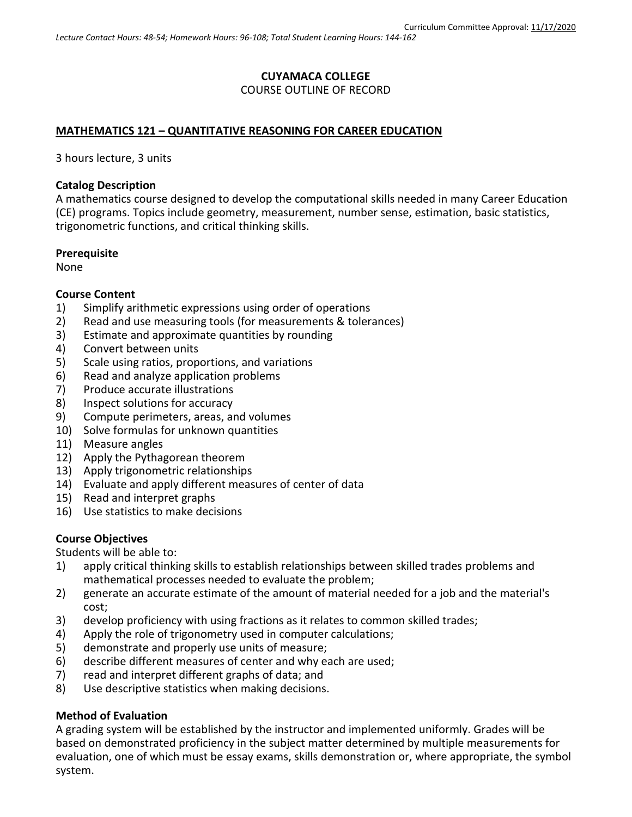# **CUYAMACA COLLEGE** COURSE OUTLINE OF RECORD

### **MATHEMATICS 121 – QUANTITATIVE REASONING FOR CAREER EDUCATION**

3 hours lecture, 3 units

#### **Catalog Description**

A mathematics course designed to develop the computational skills needed in many Career Education (CE) programs. Topics include geometry, measurement, number sense, estimation, basic statistics, trigonometric functions, and critical thinking skills.

#### **Prerequisite**

None

#### **Course Content**

- 1) Simplify arithmetic expressions using order of operations
- 2) Read and use measuring tools (for measurements & tolerances)
- 3) Estimate and approximate quantities by rounding
- 4) Convert between units
- 5) Scale using ratios, proportions, and variations
- 6) Read and analyze application problems
- 7) Produce accurate illustrations
- 8) Inspect solutions for accuracy
- 9) Compute perimeters, areas, and volumes
- 10) Solve formulas for unknown quantities
- 11) Measure angles
- 12) Apply the Pythagorean theorem
- 13) Apply trigonometric relationships
- 14) Evaluate and apply different measures of center of data
- 15) Read and interpret graphs
- 16) Use statistics to make decisions

#### **Course Objectives**

Students will be able to:

- 1) apply critical thinking skills to establish relationships between skilled trades problems and mathematical processes needed to evaluate the problem;
- 2) generate an accurate estimate of the amount of material needed for a job and the material's cost;
- 3) develop proficiency with using fractions as it relates to common skilled trades;
- 4) Apply the role of trigonometry used in computer calculations;
- 5) demonstrate and properly use units of measure;
- 6) describe different measures of center and why each are used;
- 7) read and interpret different graphs of data; and
- 8) Use descriptive statistics when making decisions.

#### **Method of Evaluation**

A grading system will be established by the instructor and implemented uniformly. Grades will be based on demonstrated proficiency in the subject matter determined by multiple measurements for evaluation, one of which must be essay exams, skills demonstration or, where appropriate, the symbol system.